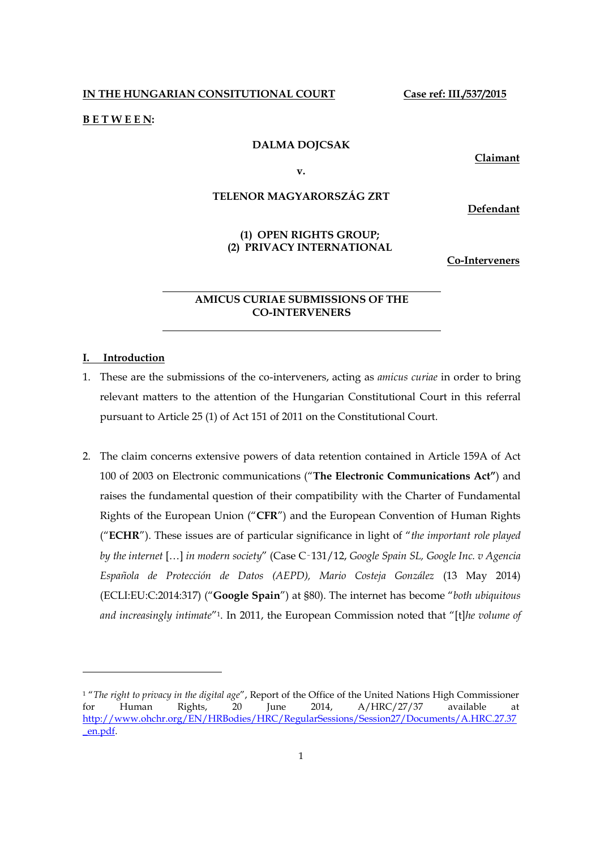**IN THE HUNGARIAN CONSITUTIONAL COURT Case ref: III./537/2015**

#### **B E T W E E N:**

### **DALMA DOJCSAK**

**Claimant**

**v.**

# **TELENOR MAGYARORSZÁG ZRT**

**Defendant**

# **(1) OPEN RIGHTS GROUP; (2) PRIVACY INTERNATIONAL**

**Co-Interveners**

# **AMICUS CURIAE SUBMISSIONS OF THE CO-INTERVENERS**

# **I. Introduction**

- 1. These are the submissions of the co-interveners, acting as *amicus curiae* in order to bring relevant matters to the attention of the Hungarian Constitutional Court in this referral pursuant to Article 25 (1) of Act 151 of 2011 on the Constitutional Court.
- 2. The claim concerns extensive powers of data retention contained in Article 159A of Act 100 of 2003 on Electronic communications ("**The Electronic Communications Act"**) and raises the fundamental question of their compatibility with the Charter of Fundamental Rights of the European Union ("**CFR**") and the European Convention of Human Rights ("**ECHR**"). These issues are of particular significance in light of "*the important role played by the internet* […] *in modern society*" (Case C‑131/12, *Google Spain SL, Google Inc. v Agencia Española de Protección de Datos (AEPD), Mario Costeja González* (13 May 2014) (ECLI:EU:C:2014:317) ("**Google Spain**") at §80). The internet has become "*both ubiquitous and increasingly intimate*"1. In 2011, the European Commission noted that "[t]*he volume of*

<sup>1</sup> "*The right to privacy in the digital age*", Report of the Office of the United Nations High Commissioner for Human Rights, 20 June 2014, A/HRC/27/37 available at http://www.ohchr.org/EN/HRBodies/HRC/RegularSessions/Session27/Documents/A.HRC.27.37 \_en.pdf.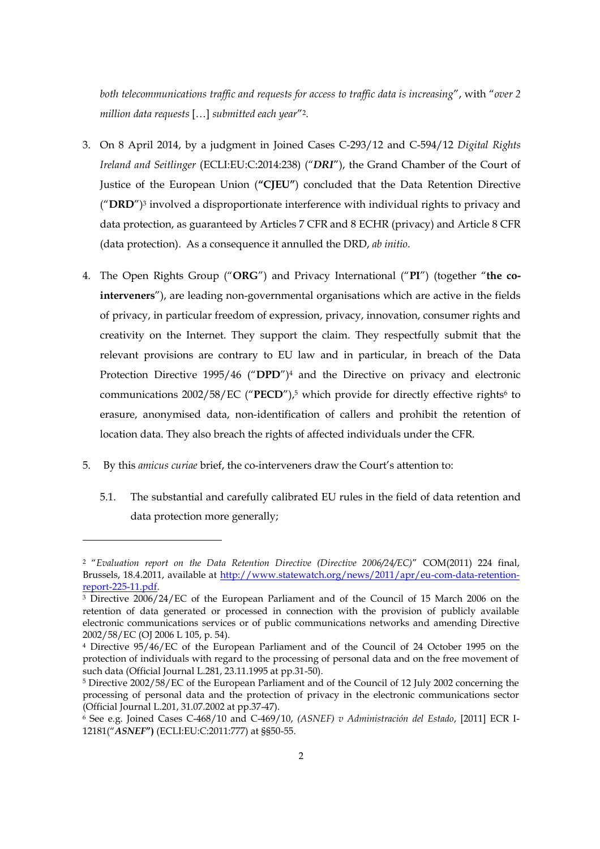*both telecommunications traffic and requests for access to traffic data is increasing*", with "*over 2 million data requests* […] *submitted each year*"2.

- 3. On 8 April 2014, by a judgment in Joined Cases C-293/12 and C-594/12 *Digital Rights Ireland and Seitlinger* (ECLI:EU:C:2014:238) ("*DRI*"), the Grand Chamber of the Court of Justice of the European Union (**"CJEU"**) concluded that the Data Retention Directive ("**DRD**")<sup>3</sup> involved a disproportionate interference with individual rights to privacy and data protection, as guaranteed by Articles 7 CFR and 8 ECHR (privacy) and Article 8 CFR (data protection). As a consequence it annulled the DRD, *ab initio*.
- 4. The Open Rights Group ("**ORG**") and Privacy International ("**PI**") (together "**the cointerveners**"), are leading non-governmental organisations which are active in the fields of privacy, in particular freedom of expression, privacy, innovation, consumer rights and creativity on the Internet. They support the claim. They respectfully submit that the relevant provisions are contrary to EU law and in particular, in breach of the Data Protection Directive 1995/46 ("**DPD**")<sup>4</sup> and the Directive on privacy and electronic communications 2002/58/EC ("PECD"),<sup>5</sup> which provide for directly effective rights<sup>6</sup> to erasure, anonymised data, non-identification of callers and prohibit the retention of location data. They also breach the rights of affected individuals under the CFR.
- 5. By this *amicus curiae* brief, the co-interveners draw the Court's attention to:

1

5.1. The substantial and carefully calibrated EU rules in the field of data retention and data protection more generally;

<sup>2</sup> "*Evaluation report on the Data Retention Directive (Directive 2006/24/EC)*" COM(2011) 224 final, Brussels, 18.4.2011, available at http://www.statewatch.org/news/2011/apr/eu-com-data-retentionreport-225-11.pdf.

<sup>3</sup> Directive 2006/24/EC of the European Parliament and of the Council of 15 March 2006 on the retention of data generated or processed in connection with the provision of publicly available electronic communications services or of public communications networks and amending Directive 2002/58/EC (OJ 2006 L 105, p. 54).

<sup>4</sup> Directive 95/46/EC of the European Parliament and of the Council of 24 October 1995 on the protection of individuals with regard to the processing of personal data and on the free movement of such data (Official Journal L.281, 23.11.1995 at pp.31-50).

<sup>5</sup> Directive 2002/58/EC of the European Parliament and of the Council of 12 July 2002 concerning the processing of personal data and the protection of privacy in the electronic communications sector (Official Journal L.201, 31.07.2002 at pp.37-47).

<sup>6</sup> See e.g. Joined Cases C-468/10 and C-469/10, *(ASNEF) v Administración del Estado*, [2011] ECR I-12181("*ASNEF***")** (ECLI:EU:C:2011:777) at §§50-55.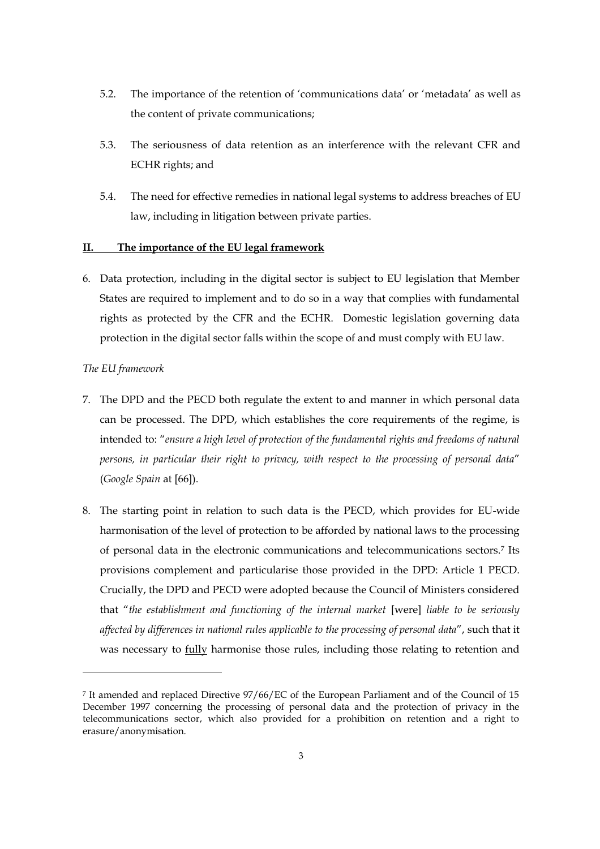- 5.2. The importance of the retention of 'communications data' or 'metadata' as well as the content of private communications;
- 5.3. The seriousness of data retention as an interference with the relevant CFR and ECHR rights; and
- 5.4. The need for effective remedies in national legal systems to address breaches of EU law, including in litigation between private parties.

# **II. The importance of the EU legal framework**

6. Data protection, including in the digital sector is subject to EU legislation that Member States are required to implement and to do so in a way that complies with fundamental rights as protected by the CFR and the ECHR. Domestic legislation governing data protection in the digital sector falls within the scope of and must comply with EU law.

### *The EU framework*

- 7. The DPD and the PECD both regulate the extent to and manner in which personal data can be processed. The DPD, which establishes the core requirements of the regime, is intended to: "*ensure a high level of protection of the fundamental rights and freedoms of natural persons, in particular their right to privacy, with respect to the processing of personal data*" (*Google Spain* at [66]).
- 8. The starting point in relation to such data is the PECD, which provides for EU-wide harmonisation of the level of protection to be afforded by national laws to the processing of personal data in the electronic communications and telecommunications sectors.7 Its provisions complement and particularise those provided in the DPD: Article 1 PECD. Crucially, the DPD and PECD were adopted because the Council of Ministers considered that "*the establishment and functioning of the internal market* [were] *liable to be seriously affected by differences in national rules applicable to the processing of personal data*", such that it was necessary to fully harmonise those rules, including those relating to retention and

<sup>7</sup> It amended and replaced Directive 97/66/EC of the European Parliament and of the Council of 15 December 1997 concerning the processing of personal data and the protection of privacy in the telecommunications sector, which also provided for a prohibition on retention and a right to erasure/anonymisation.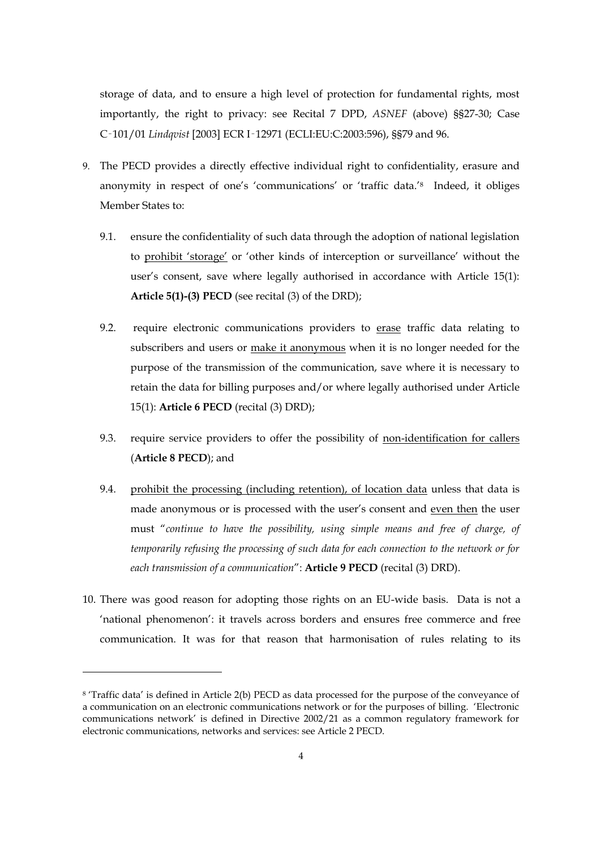storage of data, and to ensure a high level of protection for fundamental rights, most importantly, the right to privacy: see Recital 7 DPD, *ASNEF* (above) §§27-30; Case C‑101/01 *Lindqvist* [2003] ECR I‑12971 (ECLI:EU:C:2003:596), §§79 and 96.

- 9. The PECD provides a directly effective individual right to confidentiality, erasure and anonymity in respect of one's 'communications' or 'traffic data.'8 Indeed, it obliges Member States to:
	- 9.1. ensure the confidentiality of such data through the adoption of national legislation to prohibit 'storage' or 'other kinds of interception or surveillance' without the user's consent, save where legally authorised in accordance with Article 15(1): **Article 5(1)-(3) PECD** (see recital (3) of the DRD);
	- 9.2. require electronic communications providers to erase traffic data relating to subscribers and users or make it anonymous when it is no longer needed for the purpose of the transmission of the communication, save where it is necessary to retain the data for billing purposes and/or where legally authorised under Article 15(1): **Article 6 PECD** (recital (3) DRD);
	- 9.3. require service providers to offer the possibility of non-identification for callers (**Article 8 PECD**); and
	- 9.4. prohibit the processing (including retention), of location data unless that data is made anonymous or is processed with the user's consent and even then the user must "*continue to have the possibility, using simple means and free of charge, of temporarily refusing the processing of such data for each connection to the network or for each transmission of a communication*": **Article 9 PECD** (recital (3) DRD).
- 10. There was good reason for adopting those rights on an EU-wide basis. Data is not a 'national phenomenon': it travels across borders and ensures free commerce and free communication. It was for that reason that harmonisation of rules relating to its

<sup>8</sup> 'Traffic data' is defined in Article 2(b) PECD as data processed for the purpose of the conveyance of a communication on an electronic communications network or for the purposes of billing. 'Electronic communications network' is defined in Directive 2002/21 as a common regulatory framework for electronic communications, networks and services: see Article 2 PECD.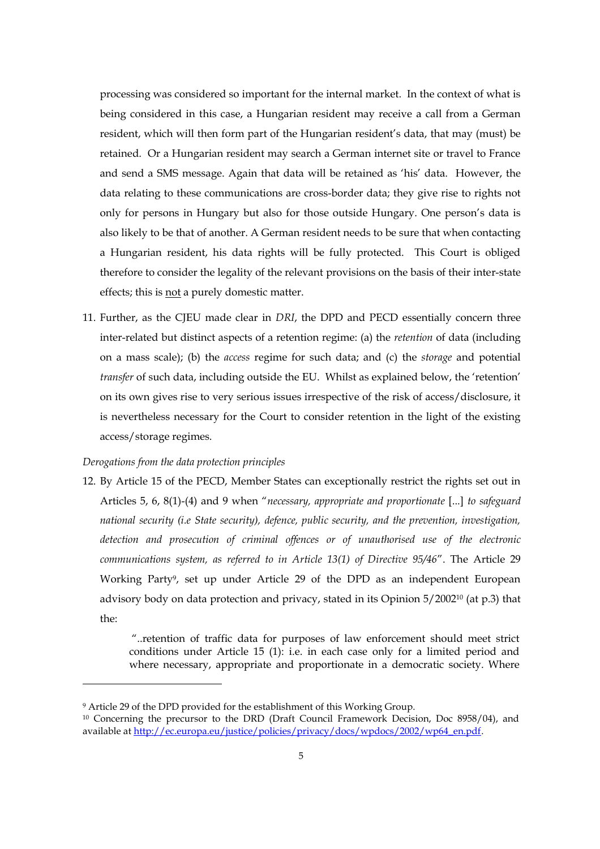processing was considered so important for the internal market. In the context of what is being considered in this case, a Hungarian resident may receive a call from a German resident, which will then form part of the Hungarian resident's data, that may (must) be retained. Or a Hungarian resident may search a German internet site or travel to France and send a SMS message. Again that data will be retained as 'his' data. However, the data relating to these communications are cross-border data; they give rise to rights not only for persons in Hungary but also for those outside Hungary. One person's data is also likely to be that of another. A German resident needs to be sure that when contacting a Hungarian resident, his data rights will be fully protected. This Court is obliged therefore to consider the legality of the relevant provisions on the basis of their inter-state effects; this is not a purely domestic matter.

11. Further, as the CJEU made clear in *DRI*, the DPD and PECD essentially concern three inter-related but distinct aspects of a retention regime: (a) the *retention* of data (including on a mass scale); (b) the *access* regime for such data; and (c) the *storage* and potential *transfer* of such data, including outside the EU. Whilst as explained below, the 'retention' on its own gives rise to very serious issues irrespective of the risk of access/disclosure, it is nevertheless necessary for the Court to consider retention in the light of the existing access/storage regimes.

#### *Derogations from the data protection principles*

 $\overline{a}$ 

12. By Article 15 of the PECD, Member States can exceptionally restrict the rights set out in Articles 5, 6, 8(1)-(4) and 9 when "*necessary, appropriate and proportionate* [...] *to safeguard national security (i.e State security), defence, public security, and the prevention, investigation, detection and prosecution of criminal offences or of unauthorised use of the electronic communications system, as referred to in Article 13(1) of Directive 95/46*". The Article 29 Working Party9, set up under Article 29 of the DPD as an independent European advisory body on data protection and privacy, stated in its Opinion 5/200210 (at p.3) that the:

> "..retention of traffic data for purposes of law enforcement should meet strict conditions under Article 15 (1): i.e. in each case only for a limited period and where necessary, appropriate and proportionate in a democratic society. Where

<sup>9</sup> Article 29 of the DPD provided for the establishment of this Working Group.

<sup>10</sup> Concerning the precursor to the DRD (Draft Council Framework Decision, Doc 8958/04), and available at http://ec.europa.eu/justice/policies/privacy/docs/wpdocs/2002/wp64\_en.pdf.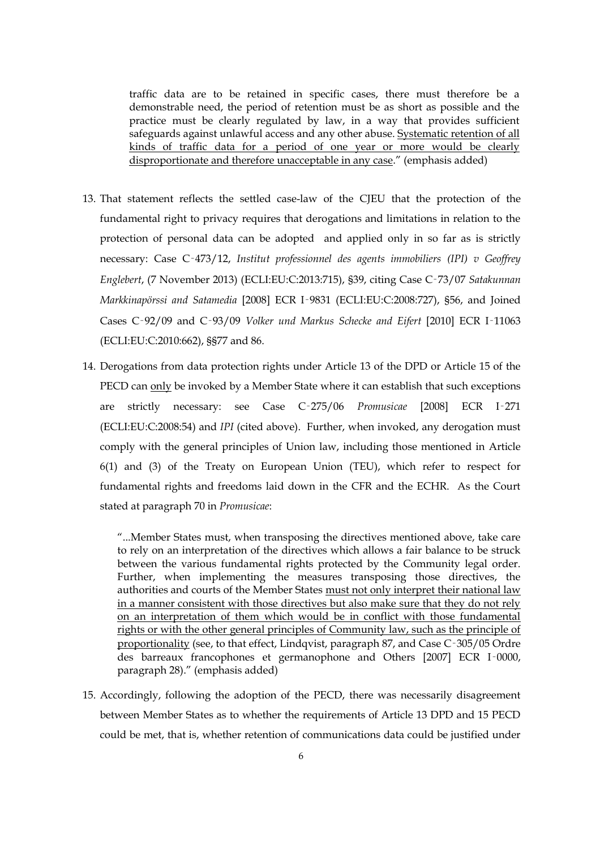traffic data are to be retained in specific cases, there must therefore be a demonstrable need, the period of retention must be as short as possible and the practice must be clearly regulated by law, in a way that provides sufficient safeguards against unlawful access and any other abuse. Systematic retention of all kinds of traffic data for a period of one year or more would be clearly disproportionate and therefore unacceptable in any case." (emphasis added)

- 13. That statement reflects the settled case-law of the CJEU that the protection of the fundamental right to privacy requires that derogations and limitations in relation to the protection of personal data can be adopted and applied only in so far as is strictly necessary: Case C‑473/12, *Institut professionnel des agents immobiliers (IPI) v Geoffrey Englebert*, (7 November 2013) (ECLI:EU:C:2013:715), §39, citing Case C‑73/07 *Satakunnan Markkinapörssi and Satamedia* [2008] ECR I‑9831 (ECLI:EU:C:2008:727), §56, and Joined Cases C‑92/09 and C‑93/09 *Volker und Markus Schecke and Eifert* [2010] ECR I‑11063 (ECLI:EU:C:2010:662), §§77 and 86.
- 14. Derogations from data protection rights under Article 13 of the DPD or Article 15 of the PECD can only be invoked by a Member State where it can establish that such exceptions are strictly necessary: see Case C‑275/06 *Promusicae* [2008] ECR I‑271 (ECLI:EU:C:2008:54) and *IPI* (cited above). Further, when invoked, any derogation must comply with the general principles of Union law, including those mentioned in Article 6(1) and (3) of the Treaty on European Union (TEU), which refer to respect for fundamental rights and freedoms laid down in the CFR and the ECHR. As the Court stated at paragraph 70 in *Promusicae*:

"...Member States must, when transposing the directives mentioned above, take care to rely on an interpretation of the directives which allows a fair balance to be struck between the various fundamental rights protected by the Community legal order. Further, when implementing the measures transposing those directives, the authorities and courts of the Member States must not only interpret their national law in a manner consistent with those directives but also make sure that they do not rely on an interpretation of them which would be in conflict with those fundamental rights or with the other general principles of Community law, such as the principle of proportionality (see, to that effect, Lindqvist, paragraph 87, and Case C‑305/05 Ordre des barreaux francophones et germanophone and Others [2007] ECR I‑0000, paragraph 28)." (emphasis added)

15. Accordingly, following the adoption of the PECD, there was necessarily disagreement between Member States as to whether the requirements of Article 13 DPD and 15 PECD could be met, that is, whether retention of communications data could be justified under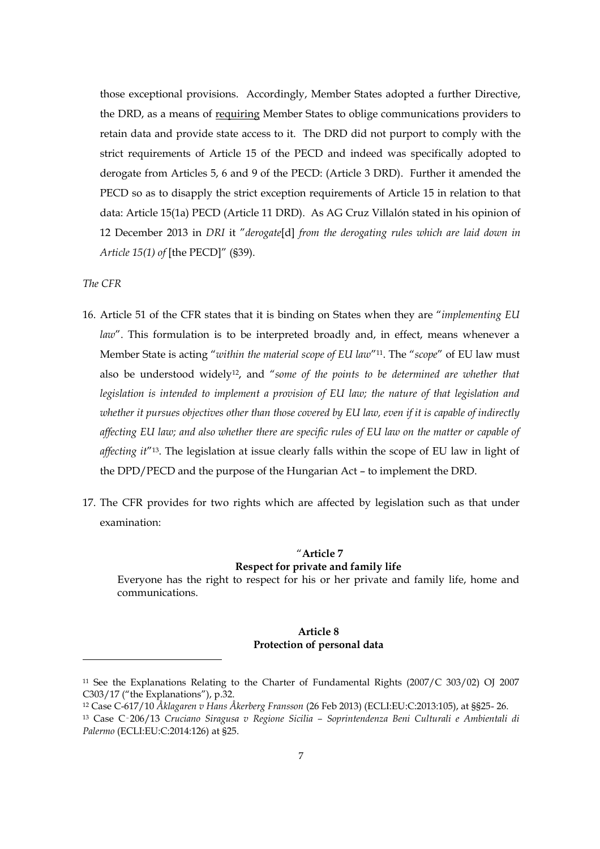those exceptional provisions. Accordingly, Member States adopted a further Directive, the DRD, as a means of requiring Member States to oblige communications providers to retain data and provide state access to it. The DRD did not purport to comply with the strict requirements of Article 15 of the PECD and indeed was specifically adopted to derogate from Articles 5, 6 and 9 of the PECD: (Article 3 DRD). Further it amended the PECD so as to disapply the strict exception requirements of Article 15 in relation to that data: Article 15(1a) PECD (Article 11 DRD). As AG Cruz Villalón stated in his opinion of 12 December 2013 in *DRI* it "*derogate*[d] *from the derogating rules which are laid down in Article 15(1) of* [the PECD]" (§39).

# *The CFR*

1

- 16. Article 51 of the CFR states that it is binding on States when they are "*implementing EU law*". This formulation is to be interpreted broadly and, in effect, means whenever a Member State is acting "*within the material scope of EU law*"11. The "*scope*" of EU law must also be understood widely12, and "*some of the points to be determined are whether that legislation is intended to implement a provision of EU law; the nature of that legislation and whether it pursues objectives other than those covered by EU law, even if it is capable of indirectly affecting EU law; and also whether there are specific rules of EU law on the matter or capable of affecting it*"13. The legislation at issue clearly falls within the scope of EU law in light of the DPD/PECD and the purpose of the Hungarian Act – to implement the DRD.
- 17. The CFR provides for two rights which are affected by legislation such as that under examination:

# "**Article 7**

# **Respect for private and family life**

Everyone has the right to respect for his or her private and family life, home and communications.

# **Article 8 Protection of personal data**

<sup>&</sup>lt;sup>11</sup> See the Explanations Relating to the Charter of Fundamental Rights (2007/C 303/02) OJ 2007 C303/17 ("the Explanations"), p.32.

<sup>12</sup> Case C-617/10 *Åklagaren v Hans Åkerberg Fransson* (26 Feb 2013) (ECLI:EU:C:2013:105), at §§25- 26.

<sup>13</sup> Case C‑206/13 *Cruciano Siragusa v Regione Sicilia – Soprintendenza Beni Culturali e Ambientali di Palermo* (ECLI:EU:C:2014:126) at §25.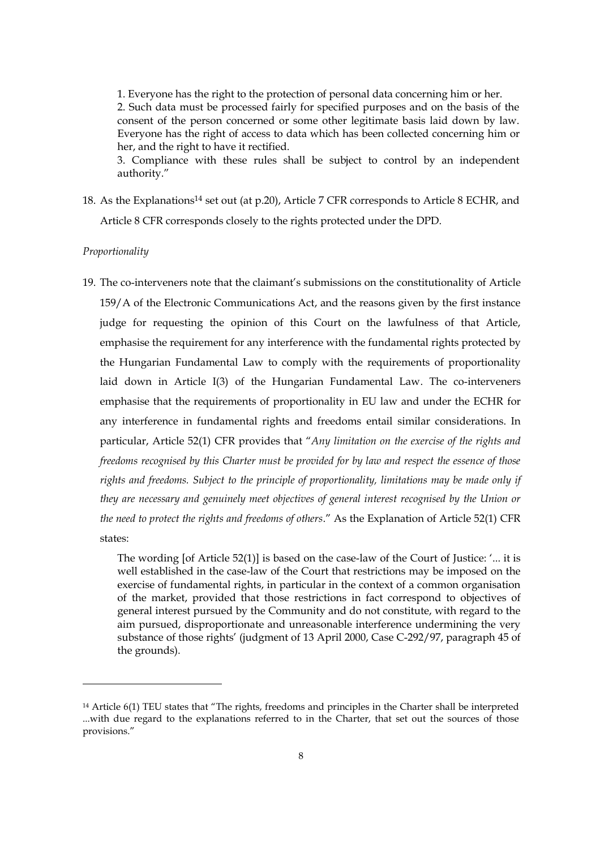1. Everyone has the right to the protection of personal data concerning him or her. 2. Such data must be processed fairly for specified purposes and on the basis of the consent of the person concerned or some other legitimate basis laid down by law. Everyone has the right of access to data which has been collected concerning him or her, and the right to have it rectified.

3. Compliance with these rules shall be subject to control by an independent authority."

18. As the Explanations14 set out (at p.20), Article 7 CFR corresponds to Article 8 ECHR, and Article 8 CFR corresponds closely to the rights protected under the DPD.

#### *Proportionality*

 $\overline{a}$ 

19. The co-interveners note that the claimant's submissions on the constitutionality of Article 159/A of the Electronic Communications Act, and the reasons given by the first instance judge for requesting the opinion of this Court on the lawfulness of that Article, emphasise the requirement for any interference with the fundamental rights protected by the Hungarian Fundamental Law to comply with the requirements of proportionality laid down in Article I(3) of the Hungarian Fundamental Law. The co-interveners emphasise that the requirements of proportionality in EU law and under the ECHR for any interference in fundamental rights and freedoms entail similar considerations. In particular, Article 52(1) CFR provides that "*Any limitation on the exercise of the rights and freedoms recognised by this Charter must be provided for by law and respect the essence of those rights and freedoms. Subject to the principle of proportionality, limitations may be made only if they are necessary and genuinely meet objectives of general interest recognised by the Union or the need to protect the rights and freedoms of others*." As the Explanation of Article 52(1) CFR states:

The wording [of Article 52(1)] is based on the case-law of the Court of Justice: '... it is well established in the case-law of the Court that restrictions may be imposed on the exercise of fundamental rights, in particular in the context of a common organisation of the market, provided that those restrictions in fact correspond to objectives of general interest pursued by the Community and do not constitute, with regard to the aim pursued, disproportionate and unreasonable interference undermining the very substance of those rights' (judgment of 13 April 2000, Case C-292/97, paragraph 45 of the grounds).

<sup>&</sup>lt;sup>14</sup> Article 6(1) TEU states that "The rights, freedoms and principles in the Charter shall be interpreted ...with due regard to the explanations referred to in the Charter, that set out the sources of those provisions."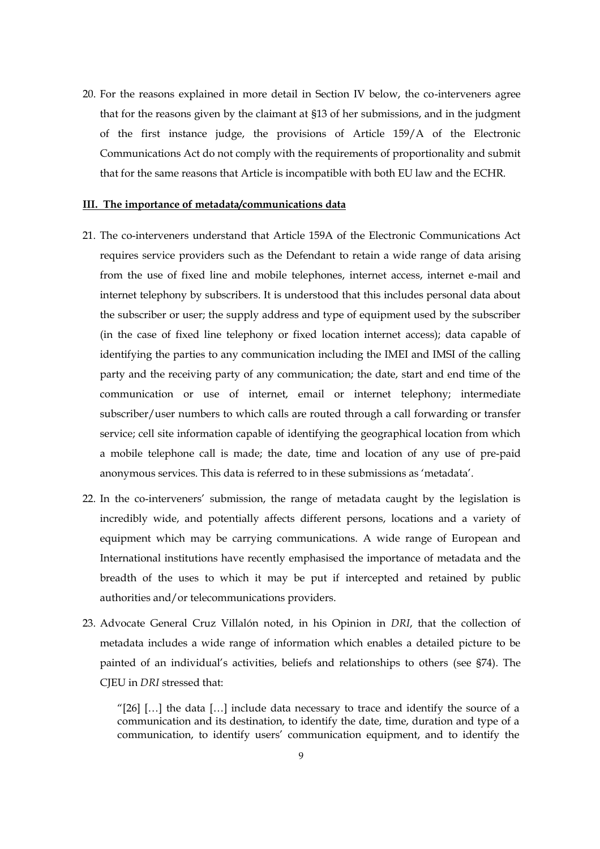20. For the reasons explained in more detail in Section IV below, the co-interveners agree that for the reasons given by the claimant at §13 of her submissions, and in the judgment of the first instance judge, the provisions of Article 159/A of the Electronic Communications Act do not comply with the requirements of proportionality and submit that for the same reasons that Article is incompatible with both EU law and the ECHR.

# **III. The importance of metadata/communications data**

- 21. The co-interveners understand that Article 159A of the Electronic Communications Act requires service providers such as the Defendant to retain a wide range of data arising from the use of fixed line and mobile telephones, internet access, internet e-mail and internet telephony by subscribers. It is understood that this includes personal data about the subscriber or user; the supply address and type of equipment used by the subscriber (in the case of fixed line telephony or fixed location internet access); data capable of identifying the parties to any communication including the IMEI and IMSI of the calling party and the receiving party of any communication; the date, start and end time of the communication or use of internet, email or internet telephony; intermediate subscriber/user numbers to which calls are routed through a call forwarding or transfer service; cell site information capable of identifying the geographical location from which a mobile telephone call is made; the date, time and location of any use of pre-paid anonymous services. This data is referred to in these submissions as 'metadata'.
- 22. In the co-interveners' submission, the range of metadata caught by the legislation is incredibly wide, and potentially affects different persons, locations and a variety of equipment which may be carrying communications. A wide range of European and International institutions have recently emphasised the importance of metadata and the breadth of the uses to which it may be put if intercepted and retained by public authorities and/or telecommunications providers.
- 23. Advocate General Cruz Villalón noted, in his Opinion in *DRI*, that the collection of metadata includes a wide range of information which enables a detailed picture to be painted of an individual's activities, beliefs and relationships to others (see §74). The CJEU in *DRI* stressed that:

"[26]  $\left[\ldots\right]$  the data  $\left[\ldots\right]$  include data necessary to trace and identify the source of a communication and its destination, to identify the date, time, duration and type of a communication, to identify users' communication equipment, and to identify the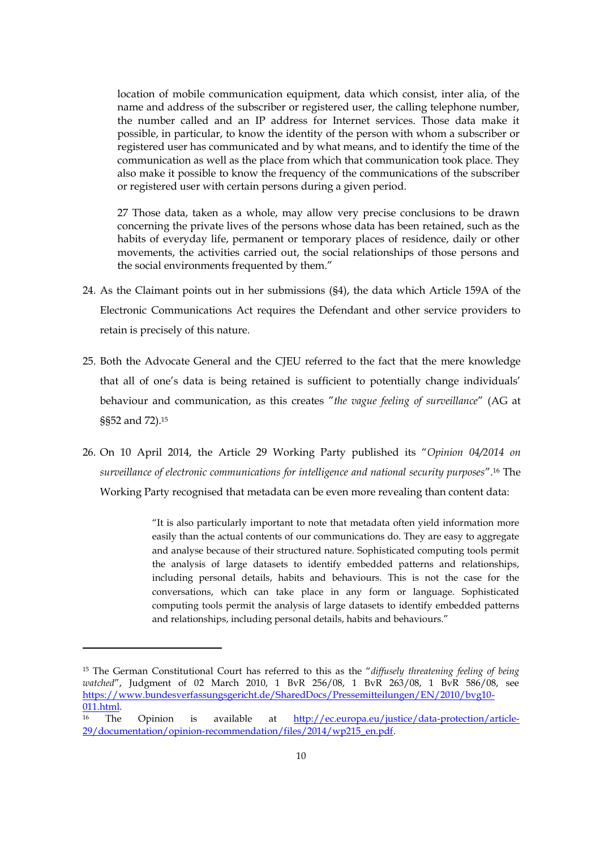location of mobile communication equipment, data which consist, inter alia, of the name and address of the subscriber or registered user, the calling telephone number, the number called and an IP address for Internet services. Those data make it possible, in particular, to know the identity of the person with whom a subscriber or registered user has communicated and by what means, and to identify the time of the communication as well as the place from which that communication took place. They also make it possible to know the frequency of the communications of the subscriber or registered user with certain persons during a given period.

27 Those data, taken as a whole, may allow very precise conclusions to be drawn concerning the private lives of the persons whose data has been retained, such as the habits of everyday life, permanent or temporary places of residence, daily or other movements, the activities carried out, the social relationships of those persons and the social environments frequented by them."

- 24. As the Claimant points out in her submissions (§4), the data which Article 159A of the Electronic Communications Act requires the Defendant and other service providers to retain is precisely of this nature.
- 25. Both the Advocate General and the CJEU referred to the fact that the mere knowledge that all of one's data is being retained is sufficient to potentially change individuals' behaviour and communication, as this creates "*the vague feeling of surveillance*" (AG at §§52 and 72).15
- 26. On 10 April 2014, the Article 29 Working Party published its "*Opinion 04/2014 on surveillance of electronic communications for intelligence and national security purposes*".<sup>16</sup> The Working Party recognised that metadata can be even more revealing than content data:

"It is also particularly important to note that metadata often yield information more easily than the actual contents of our communications do. They are easy to aggregate and analyse because of their structured nature. Sophisticated computing tools permit the analysis of large datasets to identify embedded patterns and relationships, including personal details, habits and behaviours. This is not the case for the conversations, which can take place in any form or language. Sophisticated computing tools permit the analysis of large datasets to identify embedded patterns and relationships, including personal details, habits and behaviours."

 $\overline{a}$ 

<sup>15</sup> The German Constitutional Court has referred to this as the "*diffusely threatening feeling of being watched*", Judgment of 02 March 2010, 1 BvR 256/08, 1 BvR 263/08, 1 BvR 586/08, see https://www.bundesverfassungsgericht.de/SharedDocs/Pressemitteilungen/EN/2010/bvg10- 011.html.<br><sup>16</sup> The Opinion is available at <u>http://ec.europa.eu/justice/data-protection/article-</u>

<sup>29/</sup>documentation/opinion-recommendation/files/2014/wp215\_en.pdf.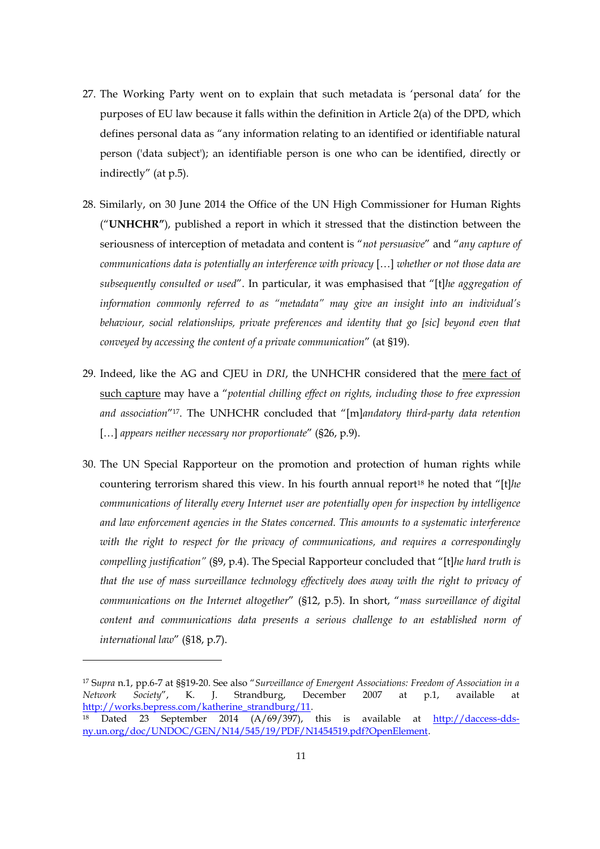- 27. The Working Party went on to explain that such metadata is 'personal data' for the purposes of EU law because it falls within the definition in Article 2(a) of the DPD, which defines personal data as "any information relating to an identified or identifiable natural person ('data subject'); an identifiable person is one who can be identified, directly or indirectly" (at p.5).
- 28. Similarly, on 30 June 2014 the Office of the UN High Commissioner for Human Rights ("**UNHCHR"**), published a report in which it stressed that the distinction between the seriousness of interception of metadata and content is "*not persuasive*" and "*any capture of communications data is potentially an interference with privacy* […] *whether or not those data are subsequently consulted or used*". In particular, it was emphasised that "[t]*he aggregation of information commonly referred to as "metadata" may give an insight into an individual's behaviour, social relationships, private preferences and identity that go [sic] beyond even that conveyed by accessing the content of a private communication*" (at §19).
- 29. Indeed, like the AG and CJEU in *DRI*, the UNHCHR considered that the mere fact of such capture may have a "*potential chilling effect on rights, including those to free expression and association*"17. The UNHCHR concluded that "[m]*andatory third-party data retention*  […] *appears neither necessary nor proportionate*" (§26, p.9).
- 30. The UN Special Rapporteur on the promotion and protection of human rights while countering terrorism shared this view. In his fourth annual report<sup>18</sup> he noted that "[t]/*he communications of literally every Internet user are potentially open for inspection by intelligence and law enforcement agencies in the States concerned. This amounts to a systematic interference*  with the right to respect for the privacy of communications, and requires a correspondingly *compelling justification"* (§9, p.4). The Special Rapporteur concluded that "[t]*he hard truth is that the use of mass surveillance technology effectively does away with the right to privacy of communications on the Internet altogether*" (§12, p.5). In short, "*mass surveillance of digital content and communications data presents a serious challenge to an established norm of international law*" (§18, p.7).

<sup>17</sup> S*upra* n.1, pp.6-7 at §§19-20. See also "*Surveillance of Emergent Associations: Freedom of Association in a Network Society*", K. J. Strandburg, December 2007 at p.1, available at http://works.bepress.com/katherine\_strandburg/11.<br><sup>18</sup> Dated 23 September 2014 (A/69/397), this is available at <u>http://daccess-dds-</u>

ny.un.org/doc/UNDOC/GEN/N14/545/19/PDF/N1454519.pdf?OpenElement.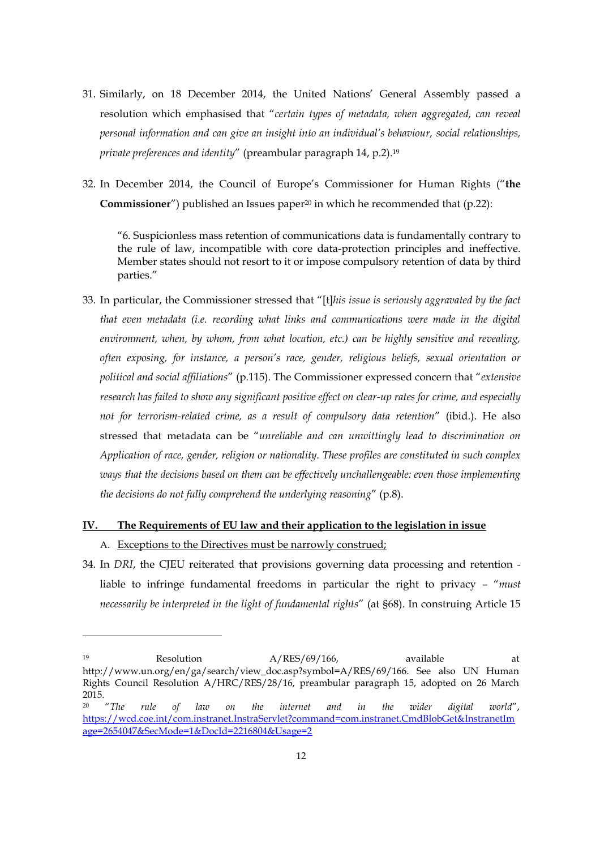- 31. Similarly, on 18 December 2014, the United Nations' General Assembly passed a resolution which emphasised that "*certain types of metadata, when aggregated, can reveal personal information and can give an insight into an individual's behaviour, social relationships, private preferences and identity*" (preambular paragraph 14, p.2).19
- 32. In December 2014, the Council of Europe's Commissioner for Human Rights ("**the Commissioner**") published an Issues paper<sup>20</sup> in which he recommended that (p.22):

"6. Suspicionless mass retention of communications data is fundamentally contrary to the rule of law, incompatible with core data-protection principles and ineffective. Member states should not resort to it or impose compulsory retention of data by third parties."

33. In particular, the Commissioner stressed that "[t]*his issue is seriously aggravated by the fact that even metadata (i.e. recording what links and communications were made in the digital environment, when, by whom, from what location, etc.) can be highly sensitive and revealing, often exposing, for instance, a person's race, gender, religious beliefs, sexual orientation or political and social affiliations*" (p.115). The Commissioner expressed concern that "*extensive research has failed to show any significant positive effect on clear-up rates for crime, and especially not for terrorism-related crime, as a result of compulsory data retention*" (ibid.). He also stressed that metadata can be "*unreliable and can unwittingly lead to discrimination on Application of race, gender, religion or nationality. These profiles are constituted in such complex ways that the decisions based on them can be effectively unchallengeable: even those implementing the decisions do not fully comprehend the underlying reasoning*" (p.8).

# **IV. The Requirements of EU law and their application to the legislation in issue**

A. Exceptions to the Directives must be narrowly construed;

 $\overline{a}$ 

34. In *DRI*, the CJEU reiterated that provisions governing data processing and retention liable to infringe fundamental freedoms in particular the right to privacy – "*must necessarily be interpreted in the light of fundamental rights*" (at §68). In construing Article 15

<sup>19</sup> Resolution  $A/RES/69/166$ , available at http://www.un.org/en/ga/search/view\_doc.asp?symbol=A/RES/69/166. See also UN Human Rights Council Resolution A/HRC/RES/28/16, preambular paragraph 15, adopted on 26 March 2015.<br><sup>20</sup> *"The* 

<sup>20</sup> "*The rule of law on the internet and in the wider digital world*", https://wcd.coe.int/com.instranet.InstraServlet?command=com.instranet.CmdBlobGet&InstranetIm age=2654047&SecMode=1&DocId=2216804&Usage=2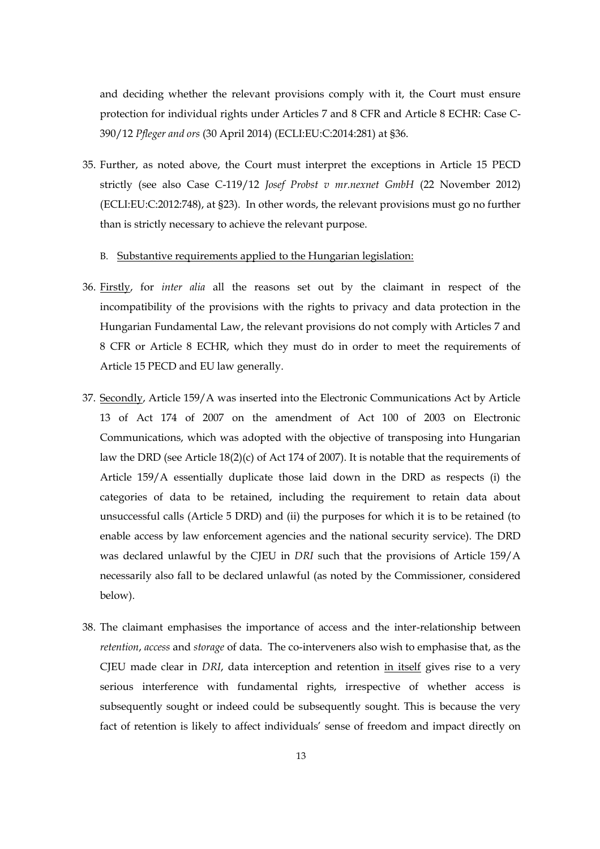and deciding whether the relevant provisions comply with it, the Court must ensure protection for individual rights under Articles 7 and 8 CFR and Article 8 ECHR: Case C-390/12 *Pfleger and ors* (30 April 2014) (ECLI:EU:C:2014:281) at §36.

35. Further, as noted above, the Court must interpret the exceptions in Article 15 PECD strictly (see also Case C-119/12 *Josef Probst v mr.nexnet GmbH* (22 November 2012) (ECLI:EU:C:2012:748), at §23). In other words, the relevant provisions must go no further than is strictly necessary to achieve the relevant purpose.

#### B. Substantive requirements applied to the Hungarian legislation:

- 36. Firstly, for *inter alia* all the reasons set out by the claimant in respect of the incompatibility of the provisions with the rights to privacy and data protection in the Hungarian Fundamental Law, the relevant provisions do not comply with Articles 7 and 8 CFR or Article 8 ECHR, which they must do in order to meet the requirements of Article 15 PECD and EU law generally.
- 37. Secondly, Article 159/A was inserted into the Electronic Communications Act by Article 13 of Act 174 of 2007 on the amendment of Act 100 of 2003 on Electronic Communications, which was adopted with the objective of transposing into Hungarian law the DRD (see Article 18(2)(c) of Act 174 of 2007). It is notable that the requirements of Article 159/A essentially duplicate those laid down in the DRD as respects (i) the categories of data to be retained, including the requirement to retain data about unsuccessful calls (Article 5 DRD) and (ii) the purposes for which it is to be retained (to enable access by law enforcement agencies and the national security service). The DRD was declared unlawful by the CJEU in *DRI* such that the provisions of Article 159/A necessarily also fall to be declared unlawful (as noted by the Commissioner, considered below).
- 38. The claimant emphasises the importance of access and the inter-relationship between *retention*, *access* and *storage* of data. The co-interveners also wish to emphasise that, as the CJEU made clear in *DRI*, data interception and retention in itself gives rise to a very serious interference with fundamental rights, irrespective of whether access is subsequently sought or indeed could be subsequently sought. This is because the very fact of retention is likely to affect individuals' sense of freedom and impact directly on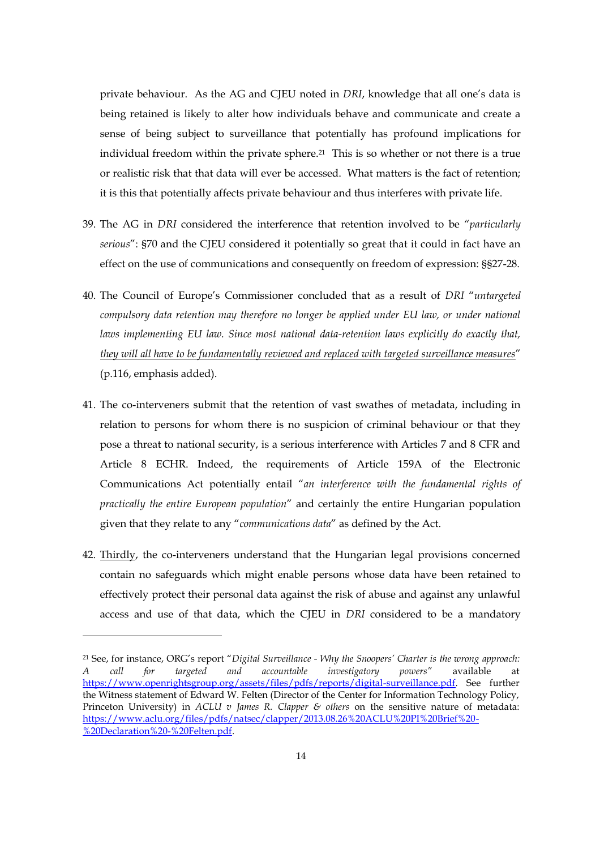private behaviour. As the AG and CJEU noted in *DRI*, knowledge that all one's data is being retained is likely to alter how individuals behave and communicate and create a sense of being subject to surveillance that potentially has profound implications for individual freedom within the private sphere.<sup>21</sup> This is so whether or not there is a true or realistic risk that that data will ever be accessed. What matters is the fact of retention; it is this that potentially affects private behaviour and thus interferes with private life.

- 39. The AG in *DRI* considered the interference that retention involved to be "*particularly serious*": §70 and the CJEU considered it potentially so great that it could in fact have an effect on the use of communications and consequently on freedom of expression: §§27-28.
- 40. The Council of Europe's Commissioner concluded that as a result of *DRI* "*untargeted compulsory data retention may therefore no longer be applied under EU law, or under national laws implementing EU law. Since most national data-retention laws explicitly do exactly that, they will all have to be fundamentally reviewed and replaced with targeted surveillance measures*" (p.116, emphasis added).
- 41. The co-interveners submit that the retention of vast swathes of metadata, including in relation to persons for whom there is no suspicion of criminal behaviour or that they pose a threat to national security, is a serious interference with Articles 7 and 8 CFR and Article 8 ECHR. Indeed, the requirements of Article 159A of the Electronic Communications Act potentially entail "*an interference with the fundamental rights of practically the entire European population*" and certainly the entire Hungarian population given that they relate to any "*communications data*" as defined by the Act.
- 42. Thirdly, the co-interveners understand that the Hungarian legal provisions concerned contain no safeguards which might enable persons whose data have been retained to effectively protect their personal data against the risk of abuse and against any unlawful access and use of that data, which the CJEU in *DRI* considered to be a mandatory

 $\overline{a}$ 

<sup>21</sup> See, for instance, ORG's report "*Digital Surveillance - Why the Snoopers' Charter is the wrong approach: A call for targeted and accountable investigatory powers"* available at https://www.openrightsgroup.org/assets/files/pdfs/reports/digital-surveillance.pdf. See further the Witness statement of Edward W. Felten (Director of the Center for Information Technology Policy, Princeton University) in *ACLU v James R. Clapper & others* on the sensitive nature of metadata: https://www.aclu.org/files/pdfs/natsec/clapper/2013.08.26%20ACLU%20PI%20Brief%20- %20Declaration%20-%20Felten.pdf.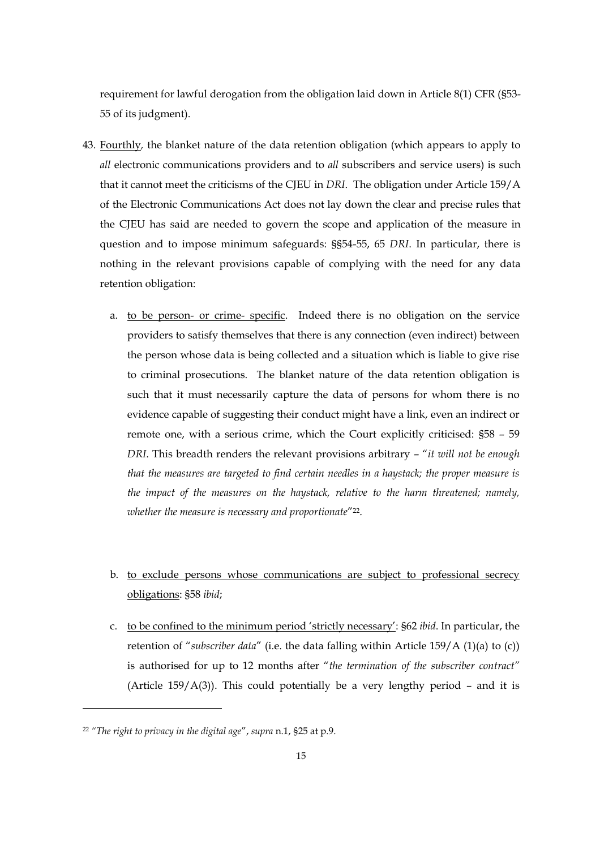requirement for lawful derogation from the obligation laid down in Article 8(1) CFR (§53- 55 of its judgment).

- 43. Fourthly*,* the blanket nature of the data retention obligation (which appears to apply to *all* electronic communications providers and to *all* subscribers and service users) is such that it cannot meet the criticisms of the CJEU in *DRI*. The obligation under Article 159/A of the Electronic Communications Act does not lay down the clear and precise rules that the CJEU has said are needed to govern the scope and application of the measure in question and to impose minimum safeguards: §§54-55, 65 *DRI*. In particular, there is nothing in the relevant provisions capable of complying with the need for any data retention obligation:
	- a. to be person- or crime- specific. Indeed there is no obligation on the service providers to satisfy themselves that there is any connection (even indirect) between the person whose data is being collected and a situation which is liable to give rise to criminal prosecutions. The blanket nature of the data retention obligation is such that it must necessarily capture the data of persons for whom there is no evidence capable of suggesting their conduct might have a link, even an indirect or remote one, with a serious crime, which the Court explicitly criticised: §58 – 59 *DRI*. This breadth renders the relevant provisions arbitrary – "*it will not be enough that the measures are targeted to find certain needles in a haystack; the proper measure is the impact of the measures on the haystack, relative to the harm threatened; namely, whether the measure is necessary and proportionate*"22.
	- b. to exclude persons whose communications are subject to professional secrecy obligations: §58 *ibid*;
	- c. to be confined to the minimum period 'strictly necessary': §62 *ibid*. In particular, the retention of "*subscriber data*" (i.e. the data falling within Article 159/A (1)(a) to (c)) is authorised for up to 12 months after "*the termination of the subscriber contract"*  (Article 159/ $A(3)$ ). This could potentially be a very lengthy period - and it is

<sup>22</sup> *"The right to privacy in the digital age*", *supra* n.1, §25 at p.9.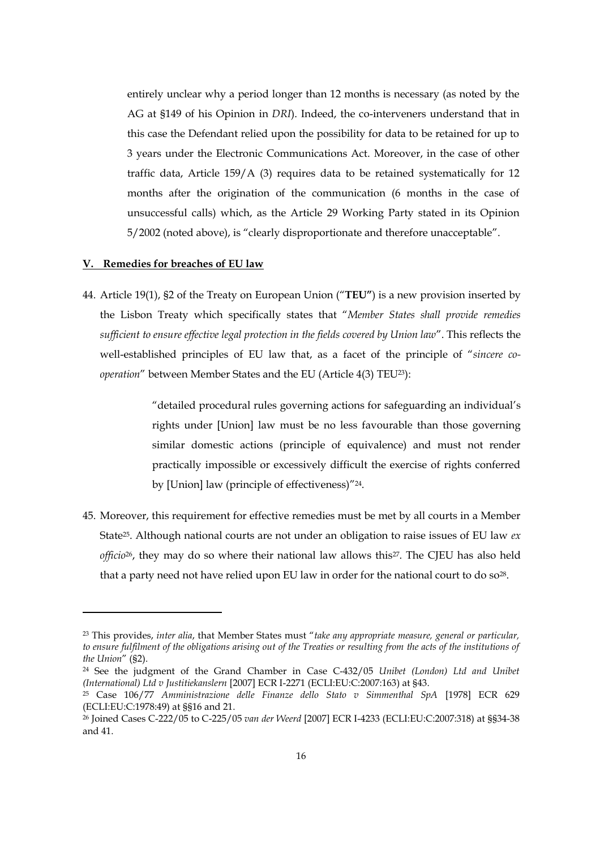entirely unclear why a period longer than 12 months is necessary (as noted by the AG at §149 of his Opinion in *DRI*). Indeed, the co-interveners understand that in this case the Defendant relied upon the possibility for data to be retained for up to 3 years under the Electronic Communications Act. Moreover, in the case of other traffic data, Article 159/A (3) requires data to be retained systematically for 12 months after the origination of the communication (6 months in the case of unsuccessful calls) which, as the Article 29 Working Party stated in its Opinion 5/2002 (noted above), is "clearly disproportionate and therefore unacceptable".

#### **V. Remedies for breaches of EU law**

1

44. Article 19(1), §2 of the Treaty on European Union ("**TEU"**) is a new provision inserted by the Lisbon Treaty which specifically states that "*Member States shall provide remedies sufficient to ensure effective legal protection in the fields covered by Union law*". This reflects the well-established principles of EU law that, as a facet of the principle of "*sincere cooperation*" between Member States and the EU (Article 4(3) TEU23):

> "detailed procedural rules governing actions for safeguarding an individual's rights under [Union] law must be no less favourable than those governing similar domestic actions (principle of equivalence) and must not render practically impossible or excessively difficult the exercise of rights conferred by [Union] law (principle of effectiveness)"24.

45. Moreover, this requirement for effective remedies must be met by all courts in a Member State25. Although national courts are not under an obligation to raise issues of EU law *ex officio*26, they may do so where their national law allows this27. The CJEU has also held that a party need not have relied upon EU law in order for the national court to do  $so^{28}$ .

<sup>23</sup> This provides, *inter alia*, that Member States must "*take any appropriate measure, general or particular, to ensure fulfilment of the obligations arising out of the Treaties or resulting from the acts of the institutions of the Union*" (§2).

<sup>24</sup> See the judgment of the Grand Chamber in Case C-432/05 *Unibet (London) Ltd and Unibet (International) Ltd v Justitiekanslern* [2007] ECR I-2271 (ECLI:EU:C:2007:163) at §43.

<sup>25</sup> Case 106/77 *Amministrazione delle Finanze dello Stato v Simmenthal SpA* [1978] ECR 629 (ECLI:EU:C:1978:49) at §§16 and 21.

<sup>26</sup> Joined Cases C-222/05 to C-225/05 *van der Weerd* [2007] ECR I-4233 (ECLI:EU:C:2007:318) at §§34-38 and 41.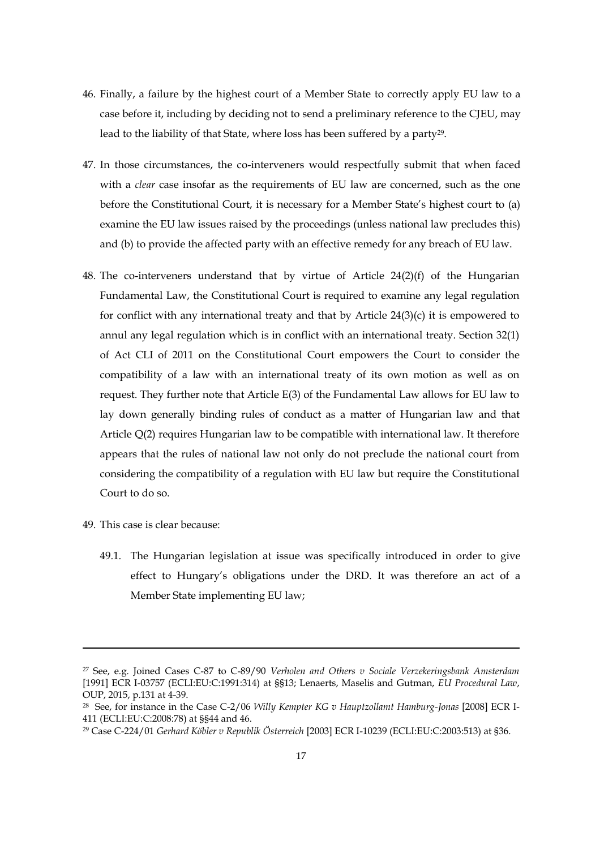- 46. Finally, a failure by the highest court of a Member State to correctly apply EU law to a case before it, including by deciding not to send a preliminary reference to the CJEU, may lead to the liability of that State, where loss has been suffered by a party29.
- 47. In those circumstances, the co-interveners would respectfully submit that when faced with a *clear* case insofar as the requirements of EU law are concerned, such as the one before the Constitutional Court, it is necessary for a Member State's highest court to (a) examine the EU law issues raised by the proceedings (unless national law precludes this) and (b) to provide the affected party with an effective remedy for any breach of EU law.
- 48. The co-interveners understand that by virtue of Article 24(2)(f) of the Hungarian Fundamental Law, the Constitutional Court is required to examine any legal regulation for conflict with any international treaty and that by Article 24(3)(c) it is empowered to annul any legal regulation which is in conflict with an international treaty. Section 32(1) of Act CLI of 2011 on the Constitutional Court empowers the Court to consider the compatibility of a law with an international treaty of its own motion as well as on request. They further note that Article E(3) of the Fundamental Law allows for EU law to lay down generally binding rules of conduct as a matter of Hungarian law and that Article Q(2) requires Hungarian law to be compatible with international law. It therefore appears that the rules of national law not only do not preclude the national court from considering the compatibility of a regulation with EU law but require the Constitutional Court to do so.
- 49. This case is clear because:

 $\overline{a}$ 

49.1. The Hungarian legislation at issue was specifically introduced in order to give effect to Hungary's obligations under the DRD. It was therefore an act of a Member State implementing EU law;

<sup>27</sup> See, e.g. Joined Cases C-87 to C-89/90 *Verholen and Others v Sociale Verzekeringsbank Amsterdam* [1991] ECR I-03757 (ECLI:EU:C:1991:314) at §§13; Lenaerts, Maselis and Gutman, *EU Procedural Law*, OUP, 2015, p.131 at 4-39.

<sup>28</sup> See, for instance in the Case C-2/06 *Willy Kempter KG v Hauptzollamt Hamburg-Jonas* [2008] ECR I-411 (ECLI:EU:C:2008:78) at §§44 and 46.

<sup>29</sup> Case C-224/01 *Gerhard Köbler v Republik Österreich* [2003] ECR I-10239 (ECLI:EU:C:2003:513) at §36.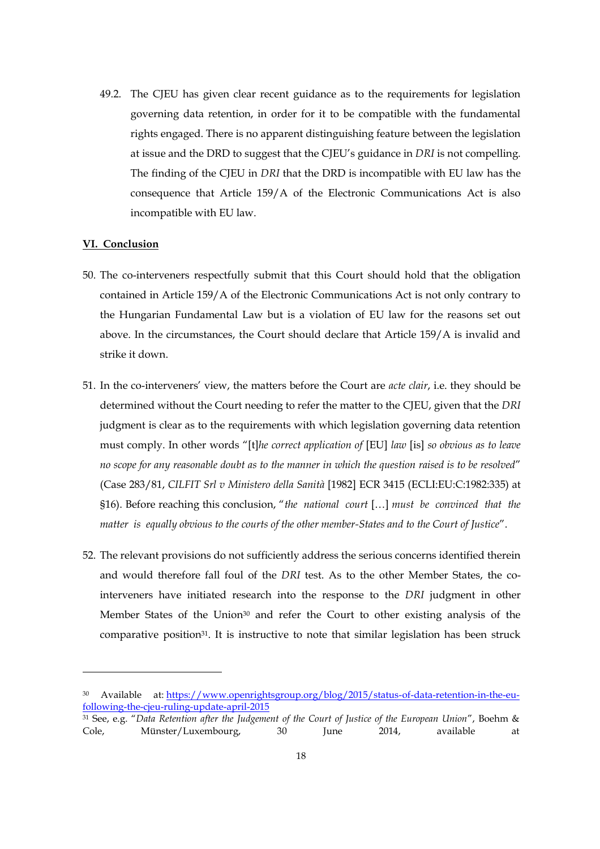49.2. The CJEU has given clear recent guidance as to the requirements for legislation governing data retention, in order for it to be compatible with the fundamental rights engaged. There is no apparent distinguishing feature between the legislation at issue and the DRD to suggest that the CJEU's guidance in *DRI* is not compelling. The finding of the CJEU in *DRI* that the DRD is incompatible with EU law has the consequence that Article 159/A of the Electronic Communications Act is also incompatible with EU law.

#### **VI. Conclusion**

- 50. The co-interveners respectfully submit that this Court should hold that the obligation contained in Article 159/A of the Electronic Communications Act is not only contrary to the Hungarian Fundamental Law but is a violation of EU law for the reasons set out above. In the circumstances, the Court should declare that Article 159/A is invalid and strike it down.
- 51. In the co-interveners' view, the matters before the Court are *acte clair*, i.e. they should be determined without the Court needing to refer the matter to the CJEU, given that the *DRI* judgment is clear as to the requirements with which legislation governing data retention must comply. In other words "[t]*he correct application of* [EU] *law* [is] *so obvious as to leave no scope for any reasonable doubt as to the manner in which the question raised is to be resolved*" (Case 283/81, *CILFIT Srl v Ministero della Sanità* [1982] ECR 3415 (ECLI:EU:C:1982:335) at §16). Before reaching this conclusion, "*the national court* […] *must be convinced that the matter is equally obvious to the courts of the other member-States and to the Court of Justice*".
- 52. The relevant provisions do not sufficiently address the serious concerns identified therein and would therefore fall foul of the *DRI* test. As to the other Member States, the cointerveners have initiated research into the response to the *DRI* judgment in other Member States of the Union30 and refer the Court to other existing analysis of the comparative position<sup>31</sup>. It is instructive to note that similar legislation has been struck

<sup>30</sup> Available at: https://www.openrightsgroup.org/blog/2015/status-of-data-retention-in-the-eufollowing-the-cjeu-ruling-update-april-2015

<sup>31</sup> See, e.g. "*Data Retention after the Judgement of the Court of Justice of the European Union*", Boehm & Cole, Münster/Luxembourg, 30 June 2014, available at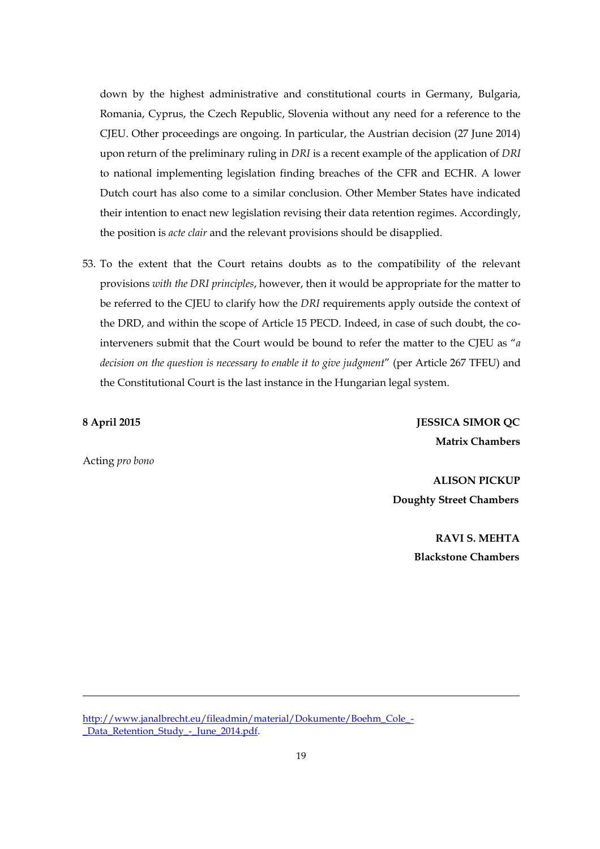down by the highest administrative and constitutional courts in Germany, Bulgaria, Romania, Cyprus, the Czech Republic, Slovenia without any need for a reference to the CJEU. Other proceedings are ongoing. In particular, the Austrian decision (27 June 2014) upon return of the preliminary ruling in *DRI* is a recent example of the application of *DRI* to national implementing legislation finding breaches of the CFR and ECHR. A lower Dutch court has also come to a similar conclusion. Other Member States have indicated their intention to enact new legislation revising their data retention regimes. Accordingly, the position is *acte clair* and the relevant provisions should be disapplied.

53. To the extent that the Court retains doubts as to the compatibility of the relevant provisions *with the DRI principles*, however, then it would be appropriate for the matter to be referred to the CJEU to clarify how the *DRI* requirements apply outside the context of the DRD, and within the scope of Article 15 PECD. Indeed, in case of such doubt, the cointerveners submit that the Court would be bound to refer the matter to the CJEU as "*a decision on the question is necessary to enable it to give judgment*" (per Article 267 TFEU) and the Constitutional Court is the last instance in the Hungarian legal system.

**8 April 2015 JESSICA SIMOR QC Matrix Chambers**

Acting *pro bono*

1

**ALISON PICKUP Doughty Street Chambers**

> **RAVI S. MEHTA Blackstone Chambers**

http://www.janalbrecht.eu/fileadmin/material/Dokumente/Boehm\_Cole\_- \_Data\_Retention\_Study\_-\_June\_2014.pdf.